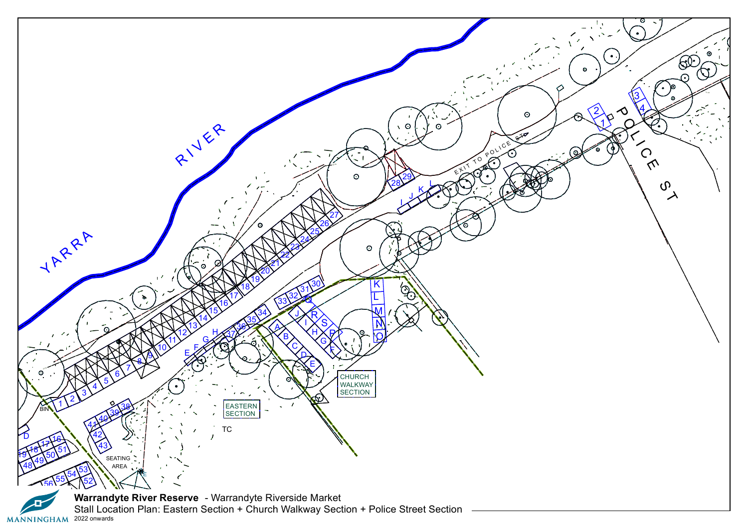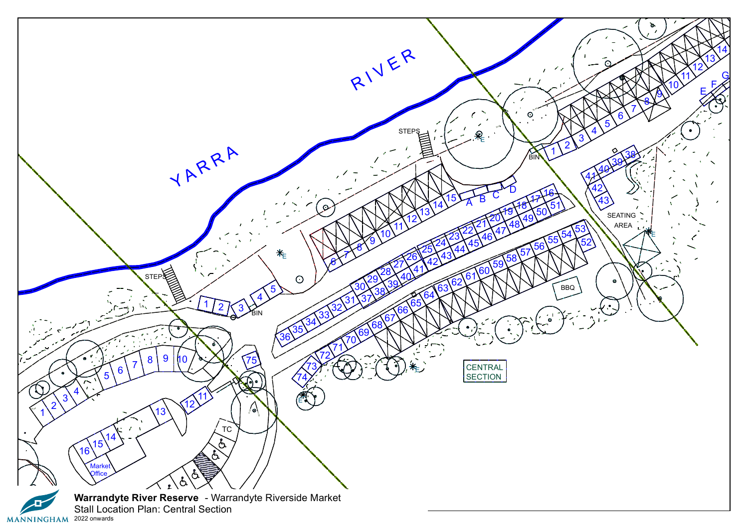